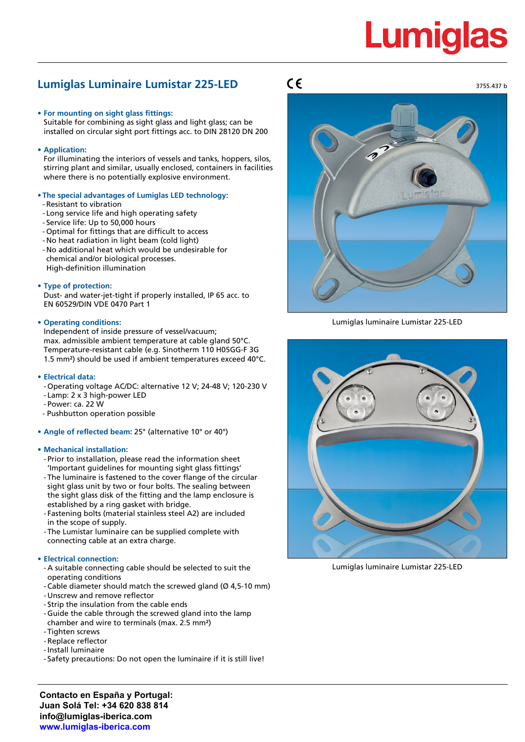# **Lumigla**

### **Lumiglas Luminaire Lumistar 225-LED**

- **• For mounting on sight glass fittings:**
- Suitable for combining as sight glass and light glass; can be installed on circular sight port fittings acc. to DIN 28120 DN 200
- **• Application:**

For illuminating the interiors of vessels and tanks, hoppers, silos, stirring plant and similar, usually enclosed, containers in facilities where there is no potentially explosive environment.

#### **• The special advantages of Lumiglas LED technology:**

- Resistant to vibration
- Long service life and high operating safety
- Service life: Up to 50,000 hours
- Optimal for fittings that are difficult to access
- No heat radiation in light beam (cold light)
- No additional heat which would be undesirable for chemical and/or biological processes. High-definition illumination

#### **• Type of protection:**

Dust- and water-jet-tight if properly installed, IP 65 acc. to EN 60529/DIN VDE 0470 Part 1

#### **• Operating conditions:**

Independent of inside pressure of vessel/vacuum; max. admissible ambient temperature at cable gland 50°C. Temperature-resistant cable (e.g. Sinotherm 110 H05GG-F 3G 1.5 mm²) should be used if ambient temperatures exceed 40°C.

#### **• Electrical data:**

- Operating voltage AC/DC: alternative 12 V; 24-48 V; 120-230 V
- Lamp: 2 x 3 high-power LED
- Power: ca. 22 W
- Pushbutton operation possible
- **• Angle of reflected beam:** 25° (alternative 10° or 40°)

#### **• Mechanical installation:**

- Prior to installation, please read the information sheet 'Important guidelines for mounting sight glass fittings'
- The luminaire is fastened to the cover flange of the circular sight glass unit by two or four bolts. The sealing between the sight glass disk of the fitting and the lamp enclosure is established by a ring gasket with bridge.
- Fastening bolts (material stainless steel A2) are included in the scope of supply.
- The Lumistar luminaire can be supplied complete with connecting cable at an extra charge.

#### **• Electrical connection:**

- A suitable connecting cable should be selected to suit the operating conditions
- Cable diameter should match the screwed gland (Ø 4,5-10 mm)
- Unscrew and remove reflector
- Strip the insulation from the cable ends
- Guide the cable through the screwed gland into the lamp chamber and wire to terminals (max. 2.5 mm²)
- Tighten screws
- Replace reflector
- -Install luminaire
- Safety precautions: Do not open the luminaire if it is still live!

### $C\epsilon$



Lumiglas luminaire Lumistar 225-LED



Lumiglas luminaire Lumistar 225-LED

**Contacto en España y Portugal: Juan Solá Tel: +34 620 838 814 info@lumiglas-iberica.com www.lumiglas-iberica.com**